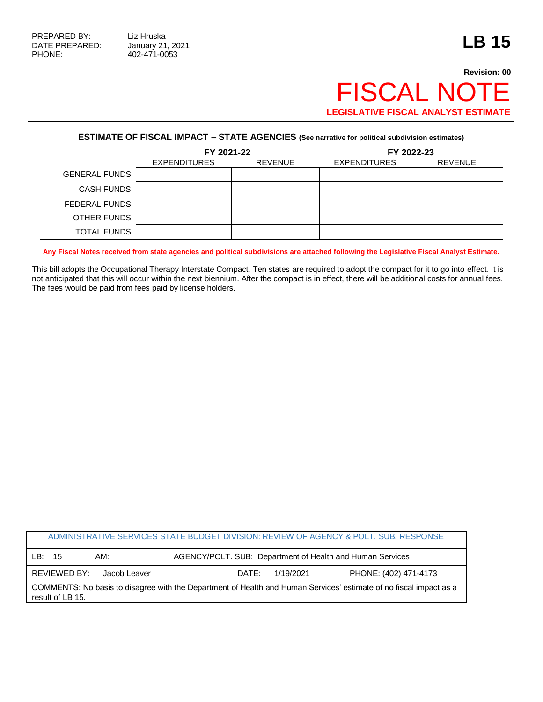## **Revision: 00** FISCAL NOTE **LEGISLATIVE FISCAL ANALYST ESTIMATE**

| <b>ESTIMATE OF FISCAL IMPACT - STATE AGENCIES (See narrative for political subdivision estimates)</b> |                     |                |                     |                |  |
|-------------------------------------------------------------------------------------------------------|---------------------|----------------|---------------------|----------------|--|
|                                                                                                       | FY 2021-22          |                | FY 2022-23          |                |  |
|                                                                                                       | <b>EXPENDITURES</b> | <b>REVENUE</b> | <b>EXPENDITURES</b> | <b>REVENUE</b> |  |
| <b>GENERAL FUNDS</b>                                                                                  |                     |                |                     |                |  |
| <b>CASH FUNDS</b>                                                                                     |                     |                |                     |                |  |
| FEDERAL FUNDS                                                                                         |                     |                |                     |                |  |
| OTHER FUNDS                                                                                           |                     |                |                     |                |  |
| TOTAL FUNDS                                                                                           |                     |                |                     |                |  |

**Any Fiscal Notes received from state agencies and political subdivisions are attached following the Legislative Fiscal Analyst Estimate.**

This bill adopts the Occupational Therapy Interstate Compact. Ten states are required to adopt the compact for it to go into effect. It is not anticipated that this will occur within the next biennium. After the compact is in effect, there will be additional costs for annual fees. The fees would be paid from fees paid by license holders.

|                                                                                                                                        |                                                                        |              |       |           | ADMINISTRATIVE SERVICES STATE BUDGET DIVISION: REVIEW OF AGENCY & POLT. SUB. RESPONSE |
|----------------------------------------------------------------------------------------------------------------------------------------|------------------------------------------------------------------------|--------------|-------|-----------|---------------------------------------------------------------------------------------|
| LB:                                                                                                                                    | AGENCY/POLT. SUB: Department of Health and Human Services<br>15<br>AM: |              |       |           |                                                                                       |
|                                                                                                                                        | REVIEWED BY:                                                           | Jacob Leaver | DATE: | 1/19/2021 | PHONE: (402) 471-4173                                                                 |
| COMMENTS: No basis to disagree with the Department of Health and Human Services' estimate of no fiscal impact as a<br>result of LB 15. |                                                                        |              |       |           |                                                                                       |